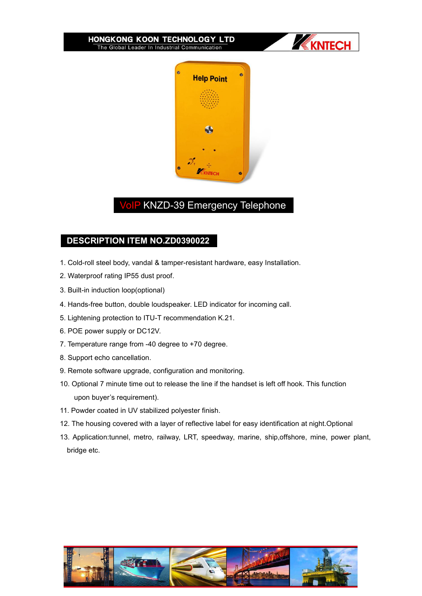



## **VoIP KNZD-39 Emergency Telephone**

## **DESCRIPTION ITEM NO.ZD0390022**

- 1. Cold-roll steel body, vandal & tamper-resistant hardware, easy Installation.
- 2. Waterproof rating IP55 dust proof.
- 3. Built-in induction loop(optional)
- 4. Hands-free button, double loudspeaker. LED indicator for incoming call.
- 5. Lightening protection to ITU-T recommendation K.21.
- 6. POE power supply or DC12V.
- 7. Temperature range from -40 degree to +70 degree.
- 8. Support echo cancellation.
- 
- 9. Remote software upgrade, configuration and monitoring.<br>10. Optional 7 minute time out to release the line if the handset is left off hook. This function upon buyer's requirement).
- 11. Powder coated in UV stabilized polyester finish.
- 12. The housing covered with a layer of reflective label for easy identification at night.Optional
- 13. Application:tunnel, metro, railway, LRT, speedway, marine, ship,offshore, mine, power plant, bridge etc.